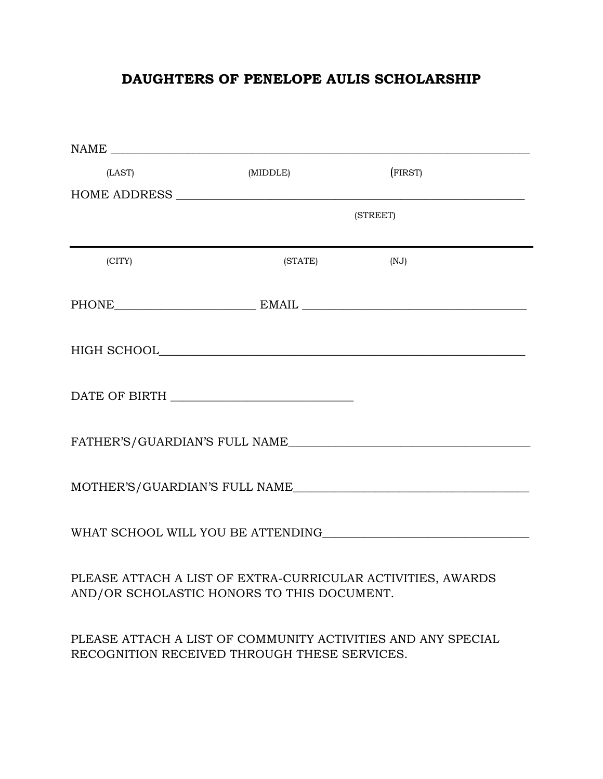# **DAUGHTERS OF PENELOPE AULIS SCHOLARSHIP**

| (LAST)                                                                                                    | (MIDDLE) | (FIRST)                                                      |  |
|-----------------------------------------------------------------------------------------------------------|----------|--------------------------------------------------------------|--|
|                                                                                                           |          |                                                              |  |
|                                                                                                           | (STREET) |                                                              |  |
|                                                                                                           |          |                                                              |  |
| (CITY)                                                                                                    | (STATE)  | (NJ)                                                         |  |
|                                                                                                           |          | PHONE EMAIL EMAIL                                            |  |
|                                                                                                           |          |                                                              |  |
| DATE OF BIRTH $\_\_$                                                                                      |          |                                                              |  |
|                                                                                                           |          | FATHER'S/GUARDIAN'S FULL NAME                                |  |
|                                                                                                           |          | MOTHER'S/GUARDIAN'S FULL NAME                                |  |
|                                                                                                           |          | WHAT SCHOOL WILL YOU BE ATTENDING                            |  |
| PLEASE ATTACH A LIST OF EXTRA-CURRICULAR ACTIVITIES, AWARDS<br>AND/OR SCHOLASTIC HONORS TO THIS DOCUMENT. |          |                                                              |  |
| RECOGNITION RECEIVED THROUGH THESE SERVICES.                                                              |          | PLEASE ATTACH A LIST OF COMMUNITY ACTIVITIES AND ANY SPECIAL |  |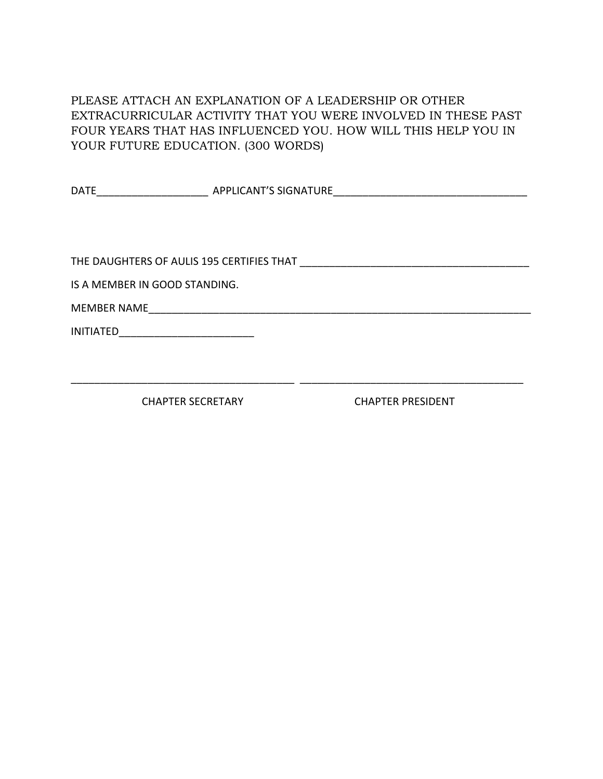PLEASE ATTACH AN EXPLANATION OF A LEADERSHIP OR OTHER EXTRACURRICULAR ACTIVITY THAT YOU WERE INVOLVED IN THESE PAST FOUR YEARS THAT HAS INFLUENCED YOU. HOW WILL THIS HELP YOU IN YOUR FUTURE EDUCATION. (300 WORDS)

| <b>DATE</b>                                                                                                                              |  |
|------------------------------------------------------------------------------------------------------------------------------------------|--|
|                                                                                                                                          |  |
|                                                                                                                                          |  |
|                                                                                                                                          |  |
|                                                                                                                                          |  |
| IS A MEMBER IN GOOD STANDING.                                                                                                            |  |
|                                                                                                                                          |  |
| <b>INITIATED</b><br><u> 1980 - Jan James James James James James James James James James James James James James James James James J</u> |  |
|                                                                                                                                          |  |
|                                                                                                                                          |  |

\_\_\_\_\_\_\_\_\_\_\_\_\_\_\_\_\_\_\_\_\_\_\_\_\_\_\_\_\_\_\_\_\_\_\_\_\_\_ \_\_\_\_\_\_\_\_\_\_\_\_\_\_\_\_\_\_\_\_\_\_\_\_\_\_\_\_\_\_\_\_\_\_\_\_\_\_

CHAPTER SECRETARY CHAPTER PRESIDENT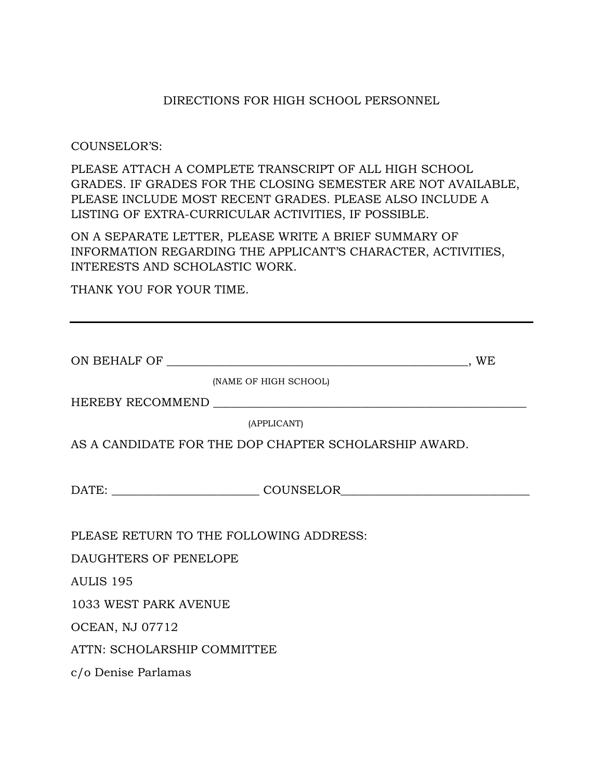#### DIRECTIONS FOR HIGH SCHOOL PERSONNEL

#### COUNSELOR'S:

PLEASE ATTACH A COMPLETE TRANSCRIPT OF ALL HIGH SCHOOL GRADES. IF GRADES FOR THE CLOSING SEMESTER ARE NOT AVAILABLE, PLEASE INCLUDE MOST RECENT GRADES. PLEASE ALSO INCLUDE A LISTING OF EXTRA-CURRICULAR ACTIVITIES, IF POSSIBLE.

ON A SEPARATE LETTER, PLEASE WRITE A BRIEF SUMMARY OF INFORMATION REGARDING THE APPLICANT'S CHARACTER, ACTIVITIES, INTERESTS AND SCHOLASTIC WORK.

THANK YOU FOR YOUR TIME.

| _______________,WE                                    |  |  |  |  |
|-------------------------------------------------------|--|--|--|--|
| (NAME OF HIGH SCHOOL)                                 |  |  |  |  |
|                                                       |  |  |  |  |
| (APPLICANT)                                           |  |  |  |  |
| AS A CANDIDATE FOR THE DOP CHAPTER SCHOLARSHIP AWARD. |  |  |  |  |
|                                                       |  |  |  |  |
|                                                       |  |  |  |  |
|                                                       |  |  |  |  |
| PLEASE RETURN TO THE FOLLOWING ADDRESS:               |  |  |  |  |
| DAUGHTERS OF PENELOPE                                 |  |  |  |  |
| AULIS 195                                             |  |  |  |  |
| 1033 WEST PARK AVENUE                                 |  |  |  |  |
| <b>OCEAN, NJ 07712</b>                                |  |  |  |  |
| ATTN: SCHOLARSHIP COMMITTEE                           |  |  |  |  |
| c/o Denise Parlamas                                   |  |  |  |  |
|                                                       |  |  |  |  |